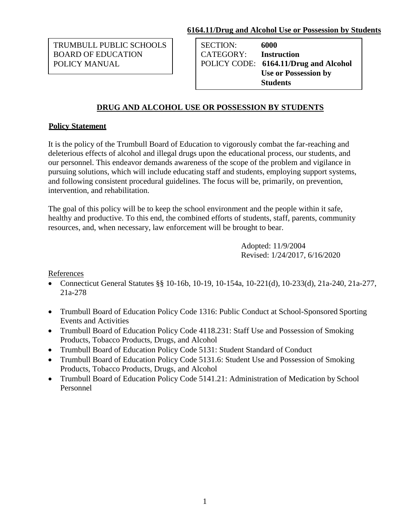#### **6164.11/Drug and Alcohol Use or Possession by Students**

TRUMBULL PUBLIC SCHOOLS BOARD OF EDUCATION POLICY MANUAL

SECTION: **6000** CATEGORY: **Instruction** POLICY CODE: **6164.11/Drug and Alcohol Use or Possession by Students**

# **DRUG AND ALCOHOL USE OR POSSESSION BY STUDENTS**

## **Policy Statement**

It is the policy of the Trumbull Board of Education to vigorously combat the far-reaching and deleterious effects of alcohol and illegal drugs upon the educational process, our students, and our personnel. This endeavor demands awareness of the scope of the problem and vigilance in pursuing solutions, which will include educating staff and students, employing support systems, and following consistent procedural guidelines. The focus will be, primarily, on prevention, intervention, and rehabilitation.

The goal of this policy will be to keep the school environment and the people within it safe, healthy and productive. To this end, the combined efforts of students, staff, parents, community resources, and, when necessary, law enforcement will be brought to bear.

> Adopted: 11/9/2004 Revised: 1/24/2017, 6/16/2020

### References

- Connecticut General Statutes §§ 10-16b, 10-19, 10-154a, 10-221(d), 10-233(d), 21a-240, 21a-277, 21a-278
- Trumbull Board of Education Policy Code 1316: Public Conduct at School-Sponsored Sporting Events and Activities
- Trumbull Board of Education Policy Code 4118.231: Staff Use and Possession of Smoking Products, Tobacco Products, Drugs, and Alcohol
- Trumbull Board of Education Policy Code 5131: Student Standard of Conduct
- Trumbull Board of Education Policy Code 5131.6: Student Use and Possession of Smoking Products, Tobacco Products, Drugs, and Alcohol
- Trumbull Board of Education Policy Code 5141.21: Administration of Medication by School Personnel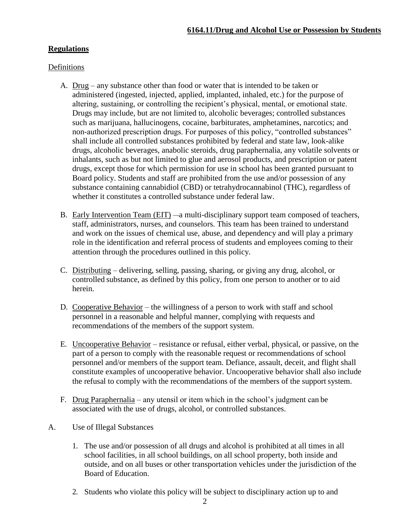## **Regulations**

#### Definitions

- A. Drug any substance other than food or water that is intended to be taken or administered (ingested, injected, applied, implanted, inhaled, etc.) for the purpose of altering, sustaining, or controlling the recipient's physical, mental, or emotional state. Drugs may include, but are not limited to, alcoholic beverages; controlled substances such as marijuana, hallucinogens, cocaine, barbiturates, amphetamines, narcotics; and non-authorized prescription drugs. For purposes of this policy, "controlled substances" shall include all controlled substances prohibited by federal and state law, look-alike drugs, alcoholic beverages, anabolic steroids, drug paraphernalia, any volatile solvents or inhalants, such as but not limited to glue and aerosol products, and prescription or patent drugs, except those for which permission for use in school has been granted pursuant to Board policy. Students and staff are prohibited from the use and/or possession of any substance containing cannabidiol (CBD) or tetrahydrocannabinol (THC), regardless of whether it constitutes a controlled substance under federal law.
- B. Early Intervention Team (EIT) —a multi-disciplinary support team composed of teachers, staff, administrators, nurses, and counselors. This team has been trained to understand and work on the issues of chemical use, abuse, and dependency and will play a primary role in the identification and referral process of students and employees coming to their attention through the procedures outlined in this policy.
- C. Distributing delivering, selling, passing, sharing, or giving any drug, alcohol, or controlled substance, as defined by this policy, from one person to another or to aid herein.
- D. Cooperative Behavior the willingness of a person to work with staff and school personnel in a reasonable and helpful manner, complying with requests and recommendations of the members of the support system.
- E. Uncooperative Behavior resistance or refusal, either verbal, physical, or passive, on the part of a person to comply with the reasonable request or recommendations of school personnel and/or members of the support team. Defiance, assault, deceit, and flight shall constitute examples of uncooperative behavior. Uncooperative behavior shall also include the refusal to comply with the recommendations of the members of the support system.
- F. Drug Paraphernalia any utensil or item which in the school's judgment can be associated with the use of drugs, alcohol, or controlled substances.
- A. Use of Illegal Substances
	- 1. The use and/or possession of all drugs and alcohol is prohibited at all times in all school facilities, in all school buildings, on all school property, both inside and outside, and on all buses or other transportation vehicles under the jurisdiction of the Board of Education.
	- 2. Students who violate this policy will be subject to disciplinary action up to and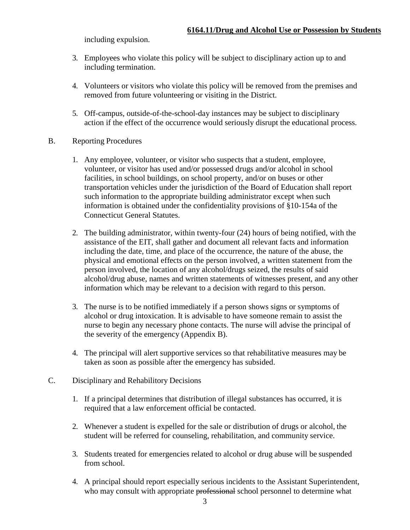including expulsion.

- 3. Employees who violate this policy will be subject to disciplinary action up to and including termination.
- 4. Volunteers or visitors who violate this policy will be removed from the premises and removed from future volunteering or visiting in the District.
- 5. Off-campus, outside-of-the-school-day instances may be subject to disciplinary action if the effect of the occurrence would seriously disrupt the educational process.
- B. Reporting Procedures
	- 1. Any employee, volunteer, or visitor who suspects that a student, employee, volunteer, or visitor has used and/or possessed drugs and/or alcohol in school facilities, in school buildings, on school property, and/or on buses or other transportation vehicles under the jurisdiction of the Board of Education shall report such information to the appropriate building administrator except when such information is obtained under the confidentiality provisions of §10-154a of the Connecticut General Statutes.
	- 2. The building administrator, within twenty-four (24) hours of being notified, with the assistance of the EIT, shall gather and document all relevant facts and information including the date, time, and place of the occurrence, the nature of the abuse, the physical and emotional effects on the person involved, a written statement from the person involved, the location of any alcohol/drugs seized, the results of said alcohol/drug abuse, names and written statements of witnesses present, and any other information which may be relevant to a decision with regard to this person.
	- 3. The nurse is to be notified immediately if a person shows signs or symptoms of alcohol or drug intoxication. It is advisable to have someone remain to assist the nurse to begin any necessary phone contacts. The nurse will advise the principal of the severity of the emergency (Appendix B).
	- 4. The principal will alert supportive services so that rehabilitative measures may be taken as soon as possible after the emergency has subsided.
- C. Disciplinary and Rehabilitory Decisions
	- 1. If a principal determines that distribution of illegal substances has occurred, it is required that a law enforcement official be contacted.
	- 2. Whenever a student is expelled for the sale or distribution of drugs or alcohol, the student will be referred for counseling, rehabilitation, and community service.
	- 3. Students treated for emergencies related to alcohol or drug abuse will be suspended from school.
	- 4. A principal should report especially serious incidents to the Assistant Superintendent, who may consult with appropriate professional school personnel to determine what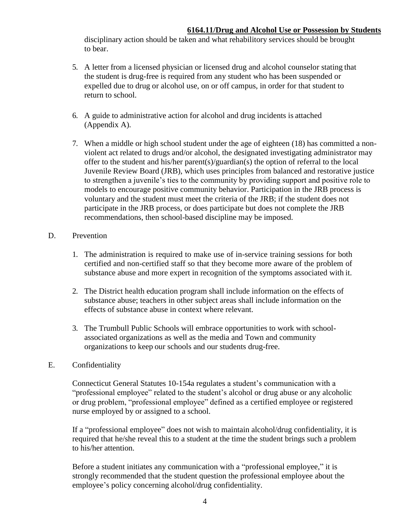#### **6164.11/Drug and Alcohol Use or Possession by Students**

disciplinary action should be taken and what rehabilitory services should be brought to bear.

- 5. A letter from a licensed physician or licensed drug and alcohol counselor stating that the student is drug-free is required from any student who has been suspended or expelled due to drug or alcohol use, on or off campus, in order for that student to return to school.
- 6. A guide to administrative action for alcohol and drug incidents is attached (Appendix A).
- 7. When a middle or high school student under the age of eighteen (18) has committed a nonviolent act related to drugs and/or alcohol, the designated investigating administrator may offer to the student and his/her parent(s)/guardian(s) the option of referral to the local Juvenile Review Board (JRB), which uses principles from balanced and restorative justice to strengthen a juvenile's ties to the community by providing support and positive role to models to encourage positive community behavior. Participation in the JRB process is voluntary and the student must meet the criteria of the JRB; if the student does not participate in the JRB process, or does participate but does not complete the JRB recommendations, then school-based discipline may be imposed.

#### D. Prevention

- 1. The administration is required to make use of in-service training sessions for both certified and non-certified staff so that they become more aware of the problem of substance abuse and more expert in recognition of the symptoms associated with it.
- 2. The District health education program shall include information on the effects of substance abuse; teachers in other subject areas shall include information on the effects of substance abuse in context where relevant.
- 3. The Trumbull Public Schools will embrace opportunities to work with schoolassociated organizations as well as the media and Town and community organizations to keep our schools and our students drug-free.

### E. Confidentiality

Connecticut General Statutes 10-154a regulates a student's communication with a "professional employee" related to the student's alcohol or drug abuse or any alcoholic or drug problem, "professional employee" defined as a certified employee or registered nurse employed by or assigned to a school.

If a "professional employee" does not wish to maintain alcohol/drug confidentiality, it is required that he/she reveal this to a student at the time the student brings such a problem to his/her attention.

Before a student initiates any communication with a "professional employee," it is strongly recommended that the student question the professional employee about the employee's policy concerning alcohol/drug confidentiality.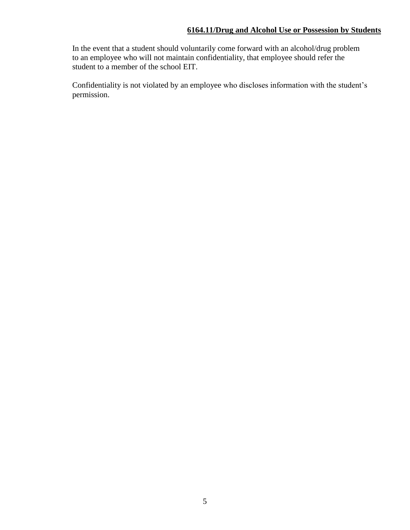In the event that a student should voluntarily come forward with an alcohol/drug problem to an employee who will not maintain confidentiality, that employee should refer the student to a member of the school EIT.

Confidentiality is not violated by an employee who discloses information with the student's permission.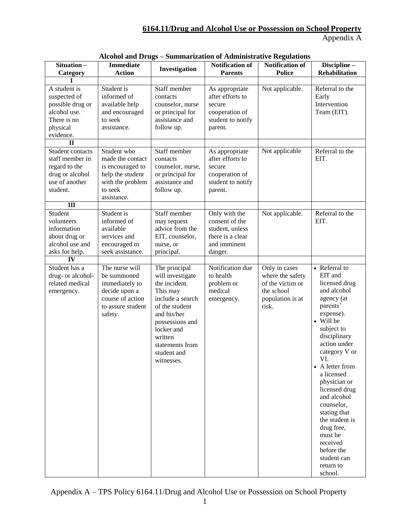| Situation-<br>Category                                                                                                | <b>Immediate</b><br><b>Action</b>                                                                                     | Investigation                                                                                                                                                                                                   | <b>Notification of</b><br><b>Parents</b>                                                          | Notification of<br><b>Police</b>                                                                 | Discipline-<br><b>Rehabilitation</b>                                                                                                                                                                                                                                                                                                                                                                           |
|-----------------------------------------------------------------------------------------------------------------------|-----------------------------------------------------------------------------------------------------------------------|-----------------------------------------------------------------------------------------------------------------------------------------------------------------------------------------------------------------|---------------------------------------------------------------------------------------------------|--------------------------------------------------------------------------------------------------|----------------------------------------------------------------------------------------------------------------------------------------------------------------------------------------------------------------------------------------------------------------------------------------------------------------------------------------------------------------------------------------------------------------|
| A student is<br>suspected of<br>possible drug or<br>alcohol use.<br>There is no<br>physical<br>evidence.              | Student is<br>informed of<br>available help<br>and encouraged<br>to seek<br>assistance.                               | Staff member<br>contacts<br>counselor, nurse<br>or principal for<br>assistance and<br>follow up.                                                                                                                | As appropriate<br>after efforts to<br>secure<br>cooperation of<br>student to notify<br>parent.    | Not applicable.                                                                                  | Referral to the<br>Early<br>Intervention<br>Team (EIT).                                                                                                                                                                                                                                                                                                                                                        |
| $\mathbf{I}$<br>Student contacts<br>staff member in<br>regard to the<br>drug or alcohol<br>use of another<br>student. | Student who<br>made the contact<br>is encouraged to<br>help the student<br>with the problem<br>to seek<br>assistance. | Staff member<br>contacts<br>counselor, nurse,<br>or principal for<br>assistance and<br>follow up.                                                                                                               | As appropriate<br>after efforts to<br>secure<br>cooperation of<br>student to notify<br>parent.    | Not applicable                                                                                   | Referral to the<br>EIT.                                                                                                                                                                                                                                                                                                                                                                                        |
| $\overline{\mathbf{m}}$<br>Student<br>volunteers<br>information<br>about drug or<br>alcohol use and<br>asks for help. | Student is<br>informed of<br>available<br>services and<br>encouraged to<br>seek assistance.                           | Staff member<br>may request<br>advice from the<br>EIT, counselor,<br>nurse, or<br>principal.                                                                                                                    | Only with the<br>consent of the<br>student, unless<br>there is a clear<br>and imminent<br>danger. | Not applicable.                                                                                  | Referral to the<br>EIT.                                                                                                                                                                                                                                                                                                                                                                                        |
| $\overline{IV}$<br>Student has a<br>drug- or alcohol-<br>related medical<br>emergency.                                | The nurse will<br>be summoned<br>immediately to<br>decide upon a<br>course of action<br>to assure student<br>safety.  | The principal<br>will investigate<br>the incident.<br>This may<br>include a search<br>of the student<br>and his/her<br>possessions and<br>locker and<br>written<br>statements from<br>student and<br>witnesses. | Notification due<br>to health<br>problem or<br>medical<br>emergency.                              | Only in cases<br>where the safety<br>of the victim or<br>the school<br>population is at<br>risk. | • Referral to<br>EIT and<br>licensed drug<br>and alcohol<br>agency (at<br>parents'<br>expense).<br>• Will be<br>subject to<br>disciplinary<br>action under<br>category V or<br>VL —<br>• A letter from<br>a licensed<br>physician or<br>licensed drug<br>and alcohol<br>counselor,<br>stating that<br>the student is<br>drug free,<br>must be<br>received<br>before the<br>student can<br>return to<br>school. |

| Alcohol and Drugs - Summarization of Administrative Regulations |  |  |
|-----------------------------------------------------------------|--|--|
|                                                                 |  |  |

Appendix A – TPS Policy 6164.11/Drug and Alcohol Use or Possession on School Property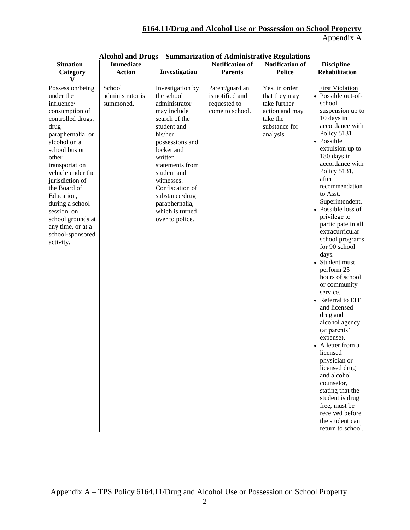| <b>Dummarization of reammorance regulations</b><br><b>Notification of</b><br><b>Notification of</b><br>Discipline-                                                                                                                                                                                                                                                                                                                                                                                                                                                                                                                                                                                                                                                                                                                                                                                                                                                                           |
|----------------------------------------------------------------------------------------------------------------------------------------------------------------------------------------------------------------------------------------------------------------------------------------------------------------------------------------------------------------------------------------------------------------------------------------------------------------------------------------------------------------------------------------------------------------------------------------------------------------------------------------------------------------------------------------------------------------------------------------------------------------------------------------------------------------------------------------------------------------------------------------------------------------------------------------------------------------------------------------------|
| <b>Police</b><br><b>Rehabilitation</b><br><b>Parents</b>                                                                                                                                                                                                                                                                                                                                                                                                                                                                                                                                                                                                                                                                                                                                                                                                                                                                                                                                     |
|                                                                                                                                                                                                                                                                                                                                                                                                                                                                                                                                                                                                                                                                                                                                                                                                                                                                                                                                                                                              |
| Yes, in order<br>Parent/guardian<br><b>First Violation</b><br>• Possible out-of-<br>is notified and<br>that they may<br>take further<br>school<br>requested to<br>suspension up to<br>come to school.<br>action and may<br>10 days in<br>take the<br>accordance with<br>substance for<br>Policy 5131.<br>analysis.<br>• Possible<br>expulsion up to<br>180 days in<br>accordance with<br>Policy 5131,<br>after<br>recommendation<br>to Asst.<br>Superintendent.<br>• Possible loss of<br>privilege to<br>participate in all<br>extracurricular<br>school programs<br>for 90 school<br>days.<br>• Student must<br>perform 25<br>hours of school<br>or community<br>service.<br>• Referral to EIT<br>and licensed<br>drug and<br>alcohol agency<br>(at parents'<br>expense).<br>• A letter from a<br>licensed<br>physician or<br>licensed drug<br>and alcohol<br>counselor,<br>stating that the<br>student is drug<br>free, must be<br>received before<br>the student can<br>return to school. |
|                                                                                                                                                                                                                                                                                                                                                                                                                                                                                                                                                                                                                                                                                                                                                                                                                                                                                                                                                                                              |

## **Alcohol and Drugs – Summarization of Administrative Regulations**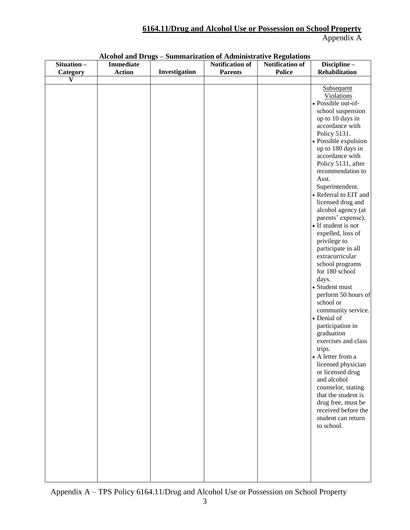|            | <b>Immediate</b> |               |                        | Alconol and DTugs – Summarization of Auministrative Regulations | Discipline-           |
|------------|------------------|---------------|------------------------|-----------------------------------------------------------------|-----------------------|
| Situation- |                  |               | <b>Notification of</b> | <b>Notification of</b>                                          |                       |
| Category   | <b>Action</b>    | Investigation | <b>Parents</b>         | <b>Police</b>                                                   | Rehabilitation        |
| V          |                  |               |                        |                                                                 |                       |
|            |                  |               |                        |                                                                 | Subsequent            |
|            |                  |               |                        |                                                                 | <b>Violations</b>     |
|            |                  |               |                        |                                                                 | · Possible out-of-    |
|            |                  |               |                        |                                                                 | school suspension     |
|            |                  |               |                        |                                                                 | up to 10 days in      |
|            |                  |               |                        |                                                                 | accordance with       |
|            |                  |               |                        |                                                                 | Policy 5131.          |
|            |                  |               |                        |                                                                 |                       |
|            |                  |               |                        |                                                                 | • Possible expulsion  |
|            |                  |               |                        |                                                                 | up to 180 days in     |
|            |                  |               |                        |                                                                 | accordance with       |
|            |                  |               |                        |                                                                 | Policy 5131, after    |
|            |                  |               |                        |                                                                 | recommendation to     |
|            |                  |               |                        |                                                                 | Asst.                 |
|            |                  |               |                        |                                                                 | Superintendent.       |
|            |                  |               |                        |                                                                 | • Referral to EIT and |
|            |                  |               |                        |                                                                 | licensed drug and     |
|            |                  |               |                        |                                                                 | alcohol agency (at    |
|            |                  |               |                        |                                                                 | parents' expense).    |
|            |                  |               |                        |                                                                 | • If student is not   |
|            |                  |               |                        |                                                                 |                       |
|            |                  |               |                        |                                                                 | expelled, loss of     |
|            |                  |               |                        |                                                                 | privilege to          |
|            |                  |               |                        |                                                                 | participate in all    |
|            |                  |               |                        |                                                                 | extracurricular       |
|            |                  |               |                        |                                                                 | school programs       |
|            |                  |               |                        |                                                                 | for 180 school        |
|            |                  |               |                        |                                                                 | days.                 |
|            |                  |               |                        |                                                                 | • Student must        |
|            |                  |               |                        |                                                                 | perform 50 hours of   |
|            |                  |               |                        |                                                                 | school or             |
|            |                  |               |                        |                                                                 | community service.    |
|            |                  |               |                        |                                                                 | • Denial of           |
|            |                  |               |                        |                                                                 | participation in      |
|            |                  |               |                        |                                                                 | graduation            |
|            |                  |               |                        |                                                                 |                       |
|            |                  |               |                        |                                                                 | exercises and class   |
|            |                  |               |                        |                                                                 | trips.                |
|            |                  |               |                        |                                                                 | A letter from a       |
|            |                  |               |                        |                                                                 | licensed physician    |
|            |                  |               |                        |                                                                 | or licensed drug      |
|            |                  |               |                        |                                                                 | and alcohol           |
|            |                  |               |                        |                                                                 | counselor, stating    |
|            |                  |               |                        |                                                                 | that the student is   |
|            |                  |               |                        |                                                                 | drug free, must be    |
|            |                  |               |                        |                                                                 | received before the   |
|            |                  |               |                        |                                                                 | student can return    |
|            |                  |               |                        |                                                                 | to school.            |
|            |                  |               |                        |                                                                 |                       |
|            |                  |               |                        |                                                                 |                       |
|            |                  |               |                        |                                                                 |                       |
|            |                  |               |                        |                                                                 |                       |
|            |                  |               |                        |                                                                 |                       |
|            |                  |               |                        |                                                                 |                       |
|            |                  |               |                        |                                                                 |                       |
|            |                  |               |                        |                                                                 |                       |

#### **Alcohol and Drugs – Summarization of Administrative Regulations**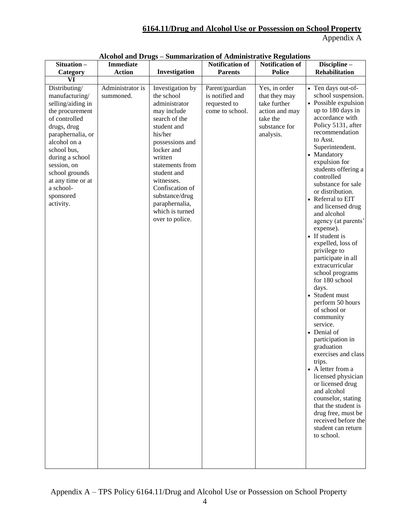|                                                                                                                                                                                                                                                                             |                               |                                                                                                                                                                                                                                                                                                    | Alconol and DTugs – Summarization of Auministrative Regulations       |                                                                                                            |                                                                                                                                                                                                                                                                                                                                                                                                                                                                                                                                                                                                                                                                                                                                                                                                                                                                                                                         |
|-----------------------------------------------------------------------------------------------------------------------------------------------------------------------------------------------------------------------------------------------------------------------------|-------------------------------|----------------------------------------------------------------------------------------------------------------------------------------------------------------------------------------------------------------------------------------------------------------------------------------------------|-----------------------------------------------------------------------|------------------------------------------------------------------------------------------------------------|-------------------------------------------------------------------------------------------------------------------------------------------------------------------------------------------------------------------------------------------------------------------------------------------------------------------------------------------------------------------------------------------------------------------------------------------------------------------------------------------------------------------------------------------------------------------------------------------------------------------------------------------------------------------------------------------------------------------------------------------------------------------------------------------------------------------------------------------------------------------------------------------------------------------------|
| Situation-                                                                                                                                                                                                                                                                  | Immediate                     |                                                                                                                                                                                                                                                                                                    | <b>Notification of</b>                                                | <b>Notification of</b>                                                                                     | Discipline-                                                                                                                                                                                                                                                                                                                                                                                                                                                                                                                                                                                                                                                                                                                                                                                                                                                                                                             |
| Category                                                                                                                                                                                                                                                                    | <b>Action</b>                 | Investigation                                                                                                                                                                                                                                                                                      | <b>Parents</b>                                                        | <b>Police</b>                                                                                              | <b>Rehabilitation</b>                                                                                                                                                                                                                                                                                                                                                                                                                                                                                                                                                                                                                                                                                                                                                                                                                                                                                                   |
| VI                                                                                                                                                                                                                                                                          |                               |                                                                                                                                                                                                                                                                                                    |                                                                       |                                                                                                            |                                                                                                                                                                                                                                                                                                                                                                                                                                                                                                                                                                                                                                                                                                                                                                                                                                                                                                                         |
| Distributing/<br>manufacturing/<br>selling/aiding in<br>the procurement<br>of controlled<br>drugs, drug<br>paraphernalia, or<br>alcohol on a<br>school bus,<br>during a school<br>session, on<br>school grounds<br>at any time or at<br>a school-<br>sponsored<br>activity. | Administrator is<br>summoned. | Investigation by<br>the school<br>administrator<br>may include<br>search of the<br>student and<br>his/her<br>possessions and<br>locker and<br>written<br>statements from<br>student and<br>witnesses.<br>Confiscation of<br>substance/drug<br>paraphernalia,<br>which is turned<br>over to police. | Parent/guardian<br>is notified and<br>requested to<br>come to school. | Yes, in order<br>that they may<br>take further<br>action and may<br>take the<br>substance for<br>analysis. | • Ten days out-of-<br>school suspension.<br>• Possible expulsion<br>up to 180 days in<br>accordance with<br>Policy 5131, after<br>recommendation<br>to Asst.<br>Superintendent.<br>• Mandatory<br>expulsion for<br>students offering a<br>controlled<br>substance for sale<br>or distribution.<br>• Referral to EIT<br>and licensed drug<br>and alcohol<br>agency (at parents'<br>expense).<br>• If student is<br>expelled, loss of<br>privilege to<br>participate in all<br>extracurricular<br>school programs<br>for 180 school<br>days.<br>• Student must<br>perform 50 hours<br>of school or<br>community<br>service.<br>• Denial of<br>participation in<br>graduation<br>exercises and class<br>trips.<br>• A letter from a<br>licensed physician<br>or licensed drug<br>and alcohol<br>counselor, stating<br>that the student is<br>drug free, must be<br>received before the<br>student can return<br>to school. |
|                                                                                                                                                                                                                                                                             |                               |                                                                                                                                                                                                                                                                                                    |                                                                       |                                                                                                            |                                                                                                                                                                                                                                                                                                                                                                                                                                                                                                                                                                                                                                                                                                                                                                                                                                                                                                                         |

| <b>Alcohol and Drugs - Summarization of Administrative Regulations</b> |  |  |  |  |  |
|------------------------------------------------------------------------|--|--|--|--|--|
|------------------------------------------------------------------------|--|--|--|--|--|

Appendix A – TPS Policy 6164.11/Drug and Alcohol Use or Possession on School Property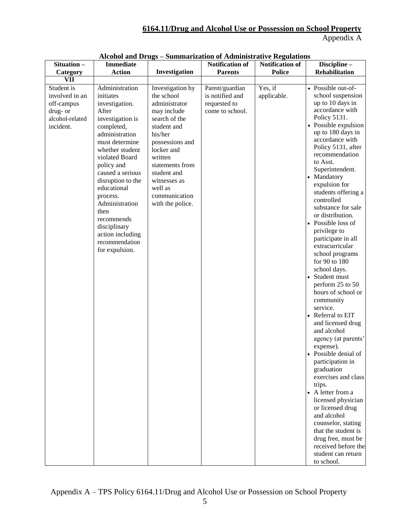| Alcohol and Drugs – Summarization of Administrative Regulations |
|-----------------------------------------------------------------|
|-----------------------------------------------------------------|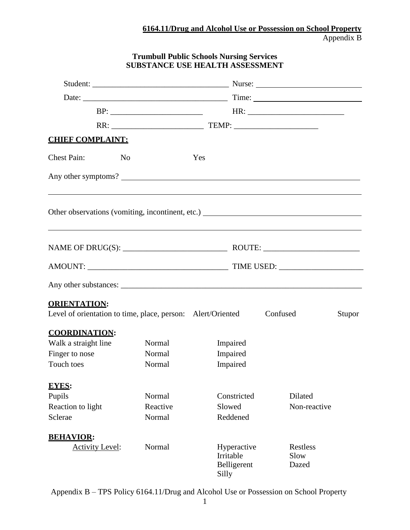# **Trumbull Public Schools Nursing Services SUBSTANCE USE HEALTH ASSESSMENT**

| <b>CHIEF COMPLAINT:</b>                                                            |          |     |                                                  |          |                                  |        |
|------------------------------------------------------------------------------------|----------|-----|--------------------------------------------------|----------|----------------------------------|--------|
| <b>Chest Pain:</b><br>N <sub>o</sub>                                               |          | Yes |                                                  |          |                                  |        |
| Any other symptoms?                                                                |          |     |                                                  |          |                                  |        |
|                                                                                    |          |     |                                                  |          |                                  |        |
| NAME OF DRUG(S): $\_\_\_\_\_\_\_\_\_\_\_$ ROUTE: $\_\_\_\_\_\_\_\_\_\_\_$          |          |     |                                                  |          |                                  |        |
| AMOUNT: TIME USED:                                                                 |          |     |                                                  |          |                                  |        |
|                                                                                    |          |     |                                                  |          |                                  |        |
| <b>ORIENTATION:</b><br>Level of orientation to time, place, person: Alert/Oriented |          |     |                                                  | Confused |                                  | Stupor |
| <b>COORDINATION:</b>                                                               |          |     |                                                  |          |                                  |        |
| Walk a straight line                                                               | Normal   |     | Impaired                                         |          |                                  |        |
| Finger to nose                                                                     | Normal   |     | Impaired                                         |          |                                  |        |
| Touch toes                                                                         | Normal   |     | Impaired                                         |          |                                  |        |
| <b>EYES:</b>                                                                       |          |     |                                                  |          |                                  |        |
| Pupils                                                                             | Normal   |     | Constricted                                      |          | Dilated                          |        |
| Reaction to light                                                                  | Reactive |     | Slowed                                           |          | Non-reactive                     |        |
| Sclerae                                                                            | Normal   |     | Reddened                                         |          |                                  |        |
| <b>BEHAVIOR:</b>                                                                   |          |     |                                                  |          |                                  |        |
| <b>Activity Level:</b>                                                             | Normal   |     | Hyperactive<br>Irritable<br>Belligerent<br>Silly |          | <b>Restless</b><br>Slow<br>Dazed |        |

Appendix B – TPS Policy 6164.11/Drug and Alcohol Use or Possession on School Property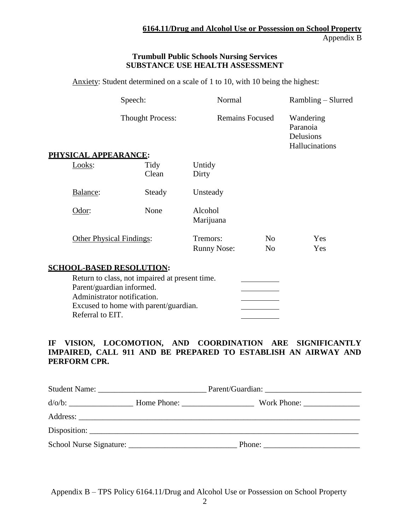#### **Trumbull Public Schools Nursing Services SUBSTANCE USE HEALTH ASSESSMENT**

Anxiety: Student determined on a scale of 1 to 10, with 10 being the highest:

|                                                                              | Speech:                                                                                 | Normal                         |                                  | Rambling – Slurred                                   |
|------------------------------------------------------------------------------|-----------------------------------------------------------------------------------------|--------------------------------|----------------------------------|------------------------------------------------------|
|                                                                              | <b>Thought Process:</b>                                                                 | <b>Remains Focused</b>         |                                  | Wandering<br>Paranoia<br>Delusions<br>Hallucinations |
| PHYSICAL APPEARANCE:<br>Looks:                                               | Tidy<br>Clean                                                                           | Untidy<br>Dirty                |                                  |                                                      |
| Balance:                                                                     | Steady                                                                                  | Unsteady                       |                                  |                                                      |
| Odor:                                                                        | None                                                                                    | Alcohol<br>Marijuana           |                                  |                                                      |
| <b>Other Physical Findings:</b>                                              |                                                                                         | Tremors:<br><b>Runny Nose:</b> | N <sub>o</sub><br>N <sub>o</sub> | Yes<br>Yes                                           |
| <b>SCHOOL-BASED RESOLUTION:</b>                                              |                                                                                         |                                |                                  |                                                      |
| Parent/guardian informed.<br>Administrator notification.<br>Referral to EIT. | Return to class, not impaired at present time.<br>Excused to home with parent/guardian. |                                |                                  |                                                      |

### **IF VISION, LOCOMOTION, AND COORDINATION ARE SIGNIFICANTLY IMPAIRED, CALL 911 AND BE PREPARED TO ESTABLISH AN AIRWAY AND PERFORM CPR.**

|  | $d/O/b:$ More Phone: None Phone: North Phone: North Phone: North Phone: North Phone: North Phone: North Phone: North Phone: North Phone: North Phone: North Phone: North Phone: North Phone: North Phone: North Phone: North Ph |  |
|--|---------------------------------------------------------------------------------------------------------------------------------------------------------------------------------------------------------------------------------|--|
|  |                                                                                                                                                                                                                                 |  |
|  |                                                                                                                                                                                                                                 |  |
|  | Phone: $\frac{1}{\sqrt{1-\frac{1}{2}} \cdot \frac{1}{2}}$                                                                                                                                                                       |  |

Appendix B – TPS Policy 6164.11/Drug and Alcohol Use or Possession on School Property